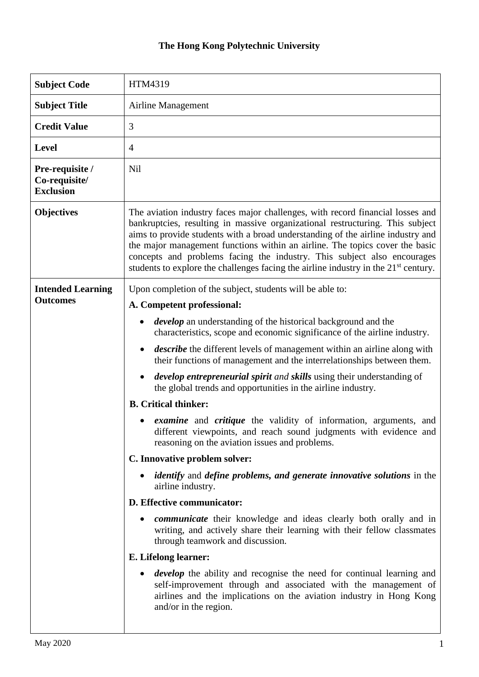## **The Hong Kong Polytechnic University**

| <b>Subject Code</b>                                  | HTM4319                                                                                                                                                                                                                                                                                                                                                                                                                                                                                                          |
|------------------------------------------------------|------------------------------------------------------------------------------------------------------------------------------------------------------------------------------------------------------------------------------------------------------------------------------------------------------------------------------------------------------------------------------------------------------------------------------------------------------------------------------------------------------------------|
| <b>Subject Title</b>                                 | Airline Management                                                                                                                                                                                                                                                                                                                                                                                                                                                                                               |
| <b>Credit Value</b>                                  | 3                                                                                                                                                                                                                                                                                                                                                                                                                                                                                                                |
| <b>Level</b>                                         | 4                                                                                                                                                                                                                                                                                                                                                                                                                                                                                                                |
| Pre-requisite /<br>Co-requisite/<br><b>Exclusion</b> | Nil                                                                                                                                                                                                                                                                                                                                                                                                                                                                                                              |
| <b>Objectives</b>                                    | The aviation industry faces major challenges, with record financial losses and<br>bankruptcies, resulting in massive organizational restructuring. This subject<br>aims to provide students with a broad understanding of the airline industry and<br>the major management functions within an airline. The topics cover the basic<br>concepts and problems facing the industry. This subject also encourages<br>students to explore the challenges facing the airline industry in the 21 <sup>st</sup> century. |
| <b>Intended Learning</b><br><b>Outcomes</b>          | Upon completion of the subject, students will be able to:                                                                                                                                                                                                                                                                                                                                                                                                                                                        |
|                                                      | A. Competent professional:                                                                                                                                                                                                                                                                                                                                                                                                                                                                                       |
|                                                      | <i>develop</i> an understanding of the historical background and the<br>characteristics, scope and economic significance of the airline industry.                                                                                                                                                                                                                                                                                                                                                                |
|                                                      | <i>describe</i> the different levels of management within an airline along with<br>their functions of management and the interrelationships between them.                                                                                                                                                                                                                                                                                                                                                        |
|                                                      | <i>develop entrepreneurial spirit and skills using their understanding of</i><br>the global trends and opportunities in the airline industry.                                                                                                                                                                                                                                                                                                                                                                    |
|                                                      | <b>B.</b> Critical thinker:                                                                                                                                                                                                                                                                                                                                                                                                                                                                                      |
|                                                      | <i>examine</i> and <i>critique</i> the validity of information, arguments, and<br>different viewpoints, and reach sound judgments with evidence and<br>reasoning on the aviation issues and problems.                                                                                                                                                                                                                                                                                                            |
|                                                      | C. Innovative problem solver:                                                                                                                                                                                                                                                                                                                                                                                                                                                                                    |
|                                                      | <i>identify</i> and <i>define</i> problems, and generate <i>innovative</i> solutions in the<br>٠<br>airline industry.                                                                                                                                                                                                                                                                                                                                                                                            |
|                                                      | D. Effective communicator:                                                                                                                                                                                                                                                                                                                                                                                                                                                                                       |
|                                                      | <i>communicate</i> their knowledge and ideas clearly both orally and in<br>٠<br>writing, and actively share their learning with their fellow classmates<br>through teamwork and discussion.                                                                                                                                                                                                                                                                                                                      |
|                                                      | E. Lifelong learner:                                                                                                                                                                                                                                                                                                                                                                                                                                                                                             |
|                                                      | <i>develop</i> the ability and recognise the need for continual learning and<br>$\bullet$<br>self-improvement through and associated with the management of<br>airlines and the implications on the aviation industry in Hong Kong<br>and/or in the region.                                                                                                                                                                                                                                                      |